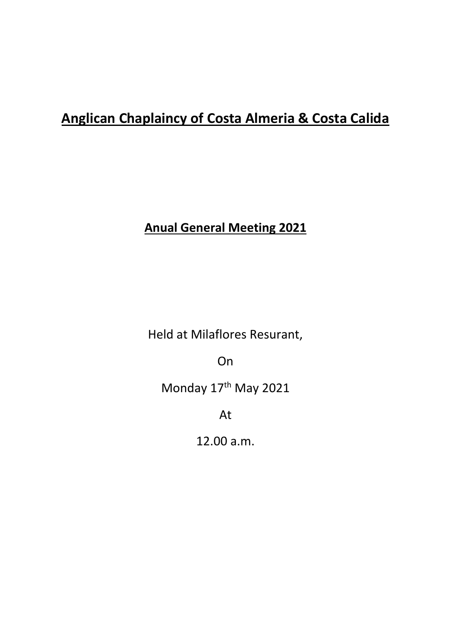# **Anglican Chaplaincy of Costa Almeria & Costa Calida**

# **Anual General Meeting 2021**

Held at Milaflores Resurant,

On

Monday 17<sup>th</sup> May 2021

At

12.00 a.m.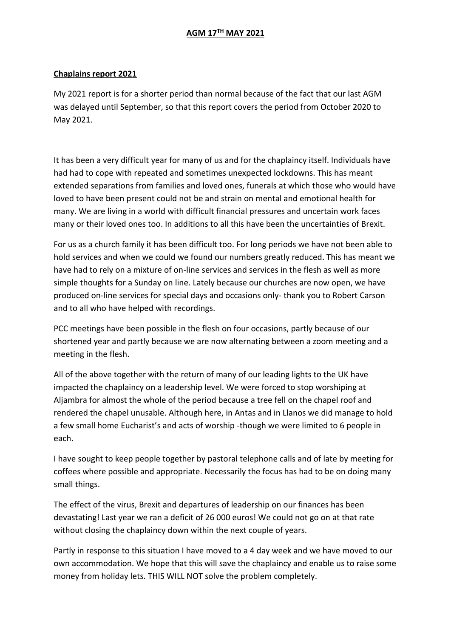# **AGM 17TH MAY 2021**

#### **Chaplains report 2021**

My 2021 report is for a shorter period than normal because of the fact that our last AGM was delayed until September, so that this report covers the period from October 2020 to May 2021.

It has been a very difficult year for many of us and for the chaplaincy itself. Individuals have had had to cope with repeated and sometimes unexpected lockdowns. This has meant extended separations from families and loved ones, funerals at which those who would have loved to have been present could not be and strain on mental and emotional health for many. We are living in a world with difficult financial pressures and uncertain work faces many or their loved ones too. In additions to all this have been the uncertainties of Brexit.

For us as a church family it has been difficult too. For long periods we have not been able to hold services and when we could we found our numbers greatly reduced. This has meant we have had to rely on a mixture of on-line services and services in the flesh as well as more simple thoughts for a Sunday on line. Lately because our churches are now open, we have produced on-line services for special days and occasions only- thank you to Robert Carson and to all who have helped with recordings.

PCC meetings have been possible in the flesh on four occasions, partly because of our shortened year and partly because we are now alternating between a zoom meeting and a meeting in the flesh.

All of the above together with the return of many of our leading lights to the UK have impacted the chaplaincy on a leadership level. We were forced to stop worshiping at Aljambra for almost the whole of the period because a tree fell on the chapel roof and rendered the chapel unusable. Although here, in Antas and in Llanos we did manage to hold a few small home Eucharist's and acts of worship -though we were limited to 6 people in each.

I have sought to keep people together by pastoral telephone calls and of late by meeting for coffees where possible and appropriate. Necessarily the focus has had to be on doing many small things.

The effect of the virus, Brexit and departures of leadership on our finances has been devastating! Last year we ran a deficit of 26 000 euros! We could not go on at that rate without closing the chaplaincy down within the next couple of years.

Partly in response to this situation I have moved to a 4 day week and we have moved to our own accommodation. We hope that this will save the chaplaincy and enable us to raise some money from holiday lets. THIS WILL NOT solve the problem completely.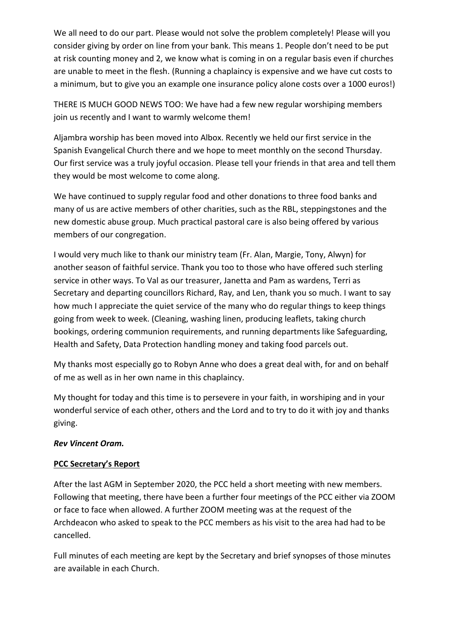We all need to do our part. Please would not solve the problem completely! Please will you consider giving by order on line from your bank. This means 1. People don't need to be put at risk counting money and 2, we know what is coming in on a regular basis even if churches are unable to meet in the flesh. (Running a chaplaincy is expensive and we have cut costs to a minimum, but to give you an example one insurance policy alone costs over a 1000 euros!)

THERE IS MUCH GOOD NEWS TOO: We have had a few new regular worshiping members join us recently and I want to warmly welcome them!

Aljambra worship has been moved into Albox. Recently we held our first service in the Spanish Evangelical Church there and we hope to meet monthly on the second Thursday. Our first service was a truly joyful occasion. Please tell your friends in that area and tell them they would be most welcome to come along.

We have continued to supply regular food and other donations to three food banks and many of us are active members of other charities, such as the RBL, steppingstones and the new domestic abuse group. Much practical pastoral care is also being offered by various members of our congregation.

I would very much like to thank our ministry team (Fr. Alan, Margie, Tony, Alwyn) for another season of faithful service. Thank you too to those who have offered such sterling service in other ways. To Val as our treasurer, Janetta and Pam as wardens, Terri as Secretary and departing councillors Richard, Ray, and Len, thank you so much. I want to say how much I appreciate the quiet service of the many who do regular things to keep things going from week to week. (Cleaning, washing linen, producing leaflets, taking church bookings, ordering communion requirements, and running departments like Safeguarding, Health and Safety, Data Protection handling money and taking food parcels out.

My thanks most especially go to Robyn Anne who does a great deal with, for and on behalf of me as well as in her own name in this chaplaincy.

My thought for today and this time is to persevere in your faith, in worshiping and in your wonderful service of each other, others and the Lord and to try to do it with joy and thanks giving.

# *Rev Vincent Oram.*

# **PCC Secretary's Report**

After the last AGM in September 2020, the PCC held a short meeting with new members. Following that meeting, there have been a further four meetings of the PCC either via ZOOM or face to face when allowed. A further ZOOM meeting was at the request of the Archdeacon who asked to speak to the PCC members as his visit to the area had had to be cancelled.

Full minutes of each meeting are kept by the Secretary and brief synopses of those minutes are available in each Church.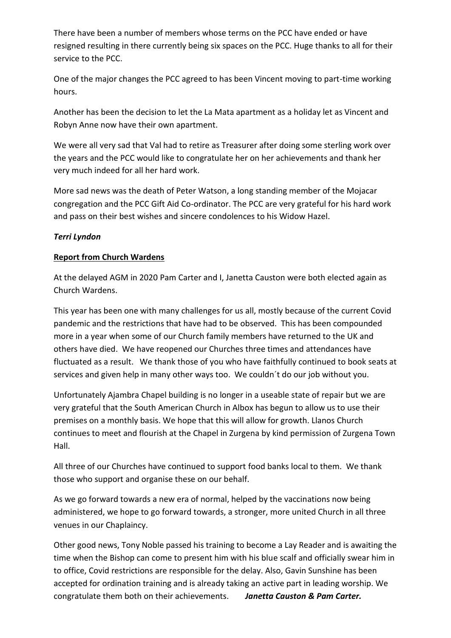There have been a number of members whose terms on the PCC have ended or have resigned resulting in there currently being six spaces on the PCC. Huge thanks to all for their service to the PCC.

One of the major changes the PCC agreed to has been Vincent moving to part-time working hours.

Another has been the decision to let the La Mata apartment as a holiday let as Vincent and Robyn Anne now have their own apartment.

We were all very sad that Val had to retire as Treasurer after doing some sterling work over the years and the PCC would like to congratulate her on her achievements and thank her very much indeed for all her hard work.

More sad news was the death of Peter Watson, a long standing member of the Mojacar congregation and the PCC Gift Aid Co-ordinator. The PCC are very grateful for his hard work and pass on their best wishes and sincere condolences to his Widow Hazel.

# *Terri Lyndon*

#### **Report from Church Wardens**

At the delayed AGM in 2020 Pam Carter and I, Janetta Causton were both elected again as Church Wardens.

This year has been one with many challenges for us all, mostly because of the current Covid pandemic and the restrictions that have had to be observed. This has been compounded more in a year when some of our Church family members have returned to the UK and others have died. We have reopened our Churches three times and attendances have fluctuated as a result. We thank those of you who have faithfully continued to book seats at services and given help in many other ways too. We couldn´t do our job without you.

Unfortunately Ajambra Chapel building is no longer in a useable state of repair but we are very grateful that the South American Church in Albox has begun to allow us to use their premises on a monthly basis. We hope that this will allow for growth. Llanos Church continues to meet and flourish at the Chapel in Zurgena by kind permission of Zurgena Town Hall.

All three of our Churches have continued to support food banks local to them. We thank those who support and organise these on our behalf.

As we go forward towards a new era of normal, helped by the vaccinations now being administered, we hope to go forward towards, a stronger, more united Church in all three venues in our Chaplaincy.

Other good news, Tony Noble passed his training to become a Lay Reader and is awaiting the time when the Bishop can come to present him with his blue scalf and officially swear him in to office, Covid restrictions are responsible for the delay. Also, Gavin Sunshine has been accepted for ordination training and is already taking an active part in leading worship. We congratulate them both on their achievements. *Janetta Causton & Pam Carter.*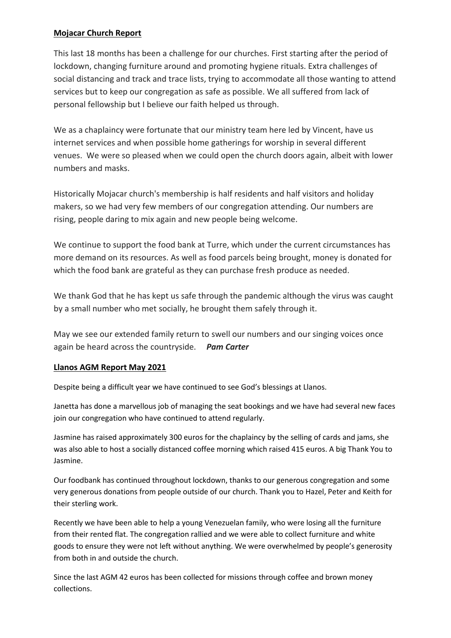# **Mojacar Church Report**

This last 18 months has been a challenge for our churches. First starting after the period of lockdown, changing furniture around and promoting hygiene rituals. Extra challenges of social distancing and track and trace lists, trying to accommodate all those wanting to attend services but to keep our congregation as safe as possible. We all suffered from lack of personal fellowship but I believe our faith helped us through.

We as a chaplaincy were fortunate that our ministry team here led by Vincent, have us internet services and when possible home gatherings for worship in several different venues. We were so pleased when we could open the church doors again, albeit with lower numbers and masks.

Historically Mojacar church's membership is half residents and half visitors and holiday makers, so we had very few members of our congregation attending. Our numbers are rising, people daring to mix again and new people being welcome.

We continue to support the food bank at Turre, which under the current circumstances has more demand on its resources. As well as food parcels being brought, money is donated for which the food bank are grateful as they can purchase fresh produce as needed.

We thank God that he has kept us safe through the pandemic although the virus was caught by a small number who met socially, he brought them safely through it.

May we see our extended family return to swell our numbers and our singing voices once again be heard across the countryside. *Pam Carter*

#### **Llanos AGM Report May 2021**

Despite being a difficult year we have continued to see God's blessings at Llanos.

Janetta has done a marvellous job of managing the seat bookings and we have had several new faces join our congregation who have continued to attend regularly.

Jasmine has raised approximately 300 euros for the chaplaincy by the selling of cards and jams, she was also able to host a socially distanced coffee morning which raised 415 euros. A big Thank You to Jasmine.

Our foodbank has continued throughout lockdown, thanks to our generous congregation and some very generous donations from people outside of our church. Thank you to Hazel, Peter and Keith for their sterling work.

Recently we have been able to help a young Venezuelan family, who were losing all the furniture from their rented flat. The congregation rallied and we were able to collect furniture and white goods to ensure they were not left without anything. We were overwhelmed by people's generosity from both in and outside the church.

Since the last AGM 42 euros has been collected for missions through coffee and brown money collections.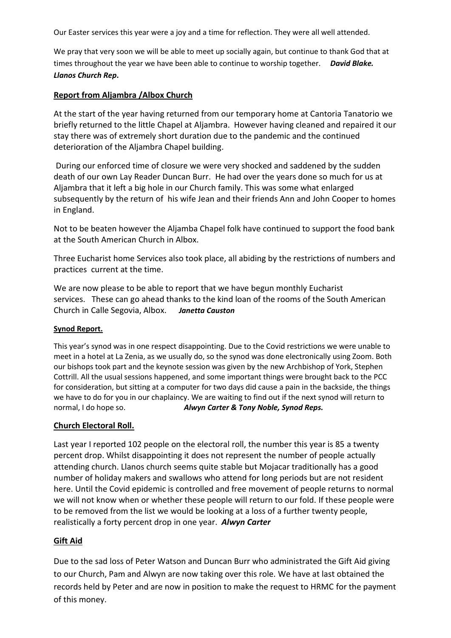Our Easter services this year were a joy and a time for reflection. They were all well attended.

We pray that very soon we will be able to meet up socially again, but continue to thank God that at times throughout the year we have been able to continue to worship together. *David Blake. Llanos Church Rep***.** 

#### **Report from Aljambra /Albox Church**

At the start of the year having returned from our temporary home at Cantoria Tanatorio we briefly returned to the little Chapel at Aljambra. However having cleaned and repaired it our stay there was of extremely short duration due to the pandemic and the continued deterioration of the Aljambra Chapel building.

During our enforced time of closure we were very shocked and saddened by the sudden death of our own Lay Reader Duncan Burr. He had over the years done so much for us at Aljambra that it left a big hole in our Church family. This was some what enlarged subsequently by the return of his wife Jean and their friends Ann and John Cooper to homes in England.

Not to be beaten however the Aljamba Chapel folk have continued to support the food bank at the South American Church in Albox.

Three Eucharist home Services also took place, all abiding by the restrictions of numbers and practices current at the time.

We are now please to be able to report that we have begun monthly Eucharist services. These can go ahead thanks to the kind loan of the rooms of the South American Church in Calle Segovia, Albox. *Janetta Causton*

#### **Synod Report.**

This year's synod was in one respect disappointing. Due to the Covid restrictions we were unable to meet in a hotel at La Zenia, as we usually do, so the synod was done electronically using Zoom. Both our bishops took part and the keynote session was given by the new Archbishop of York, Stephen Cottrill. All the usual sessions happened, and some important things were brought back to the PCC for consideration, but sitting at a computer for two days did cause a pain in the backside, the things we have to do for you in our chaplaincy. We are waiting to find out if the next synod will return to normal, I do hope so. *Alwyn Carter & Tony Noble, Synod Reps.*

#### **Church Electoral Roll.**

Last year I reported 102 people on the electoral roll, the number this year is 85 a twenty percent drop. Whilst disappointing it does not represent the number of people actually attending church. Llanos church seems quite stable but Mojacar traditionally has a good number of holiday makers and swallows who attend for long periods but are not resident here. Until the Covid epidemic is controlled and free movement of people returns to normal we will not know when or whether these people will return to our fold. If these people were to be removed from the list we would be looking at a loss of a further twenty people, realistically a forty percent drop in one year. *Alwyn Carter*

# **Gift Aid**

Due to the sad loss of Peter Watson and Duncan Burr who administrated the Gift Aid giving to our Church, Pam and Alwyn are now taking over this role. We have at last obtained the records held by Peter and are now in position to make the request to HRMC for the payment of this money.